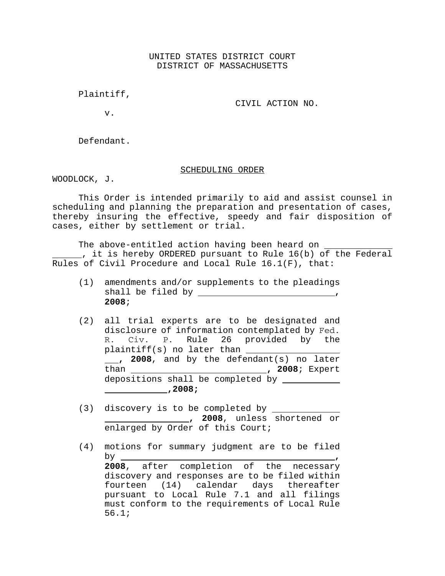UNITED STATES DISTRICT COURT DISTRICT OF MASSACHUSETTS

Plaintiff,

CIVIL ACTION NO.

v.

Defendant.

## SCHEDULING ORDER

WOODLOCK, J.

This Order is intended primarily to aid and assist counsel in scheduling and planning the preparation and presentation of cases, thereby insuring the effective, speedy and fair disposition of cases, either by settlement or trial.

The above-entitled action having been heard on , it is hereby ORDERED pursuant to Rule 16(b) of the Federal Rules of Civil Procedure and Local Rule 16.1(F), that:

- (1) amendments and/or supplements to the pleadings shall be filed by **, 2008**;
- (2) all trial experts are to be designated and disclosure of information contemplated by Fed. R. Civ. P. Rule 26 provided by the plaintiff(s) no later than 1. 2008, and by the defendant(s) no later than **, 2008**; Expert depositions shall be completed by  **,2008;**
- (3) discovery is to be completed by **1008**, unless shortened or enlarged by Order of this Court;
- (4) motions for summary judgment are to be filed by **, 2008**, after completion of the necessary discovery and responses are to be filed within fourteen (14) calendar days thereafter pursuant to Local Rule 7.1 and all filings must conform to the requirements of Local Rule 56.1;